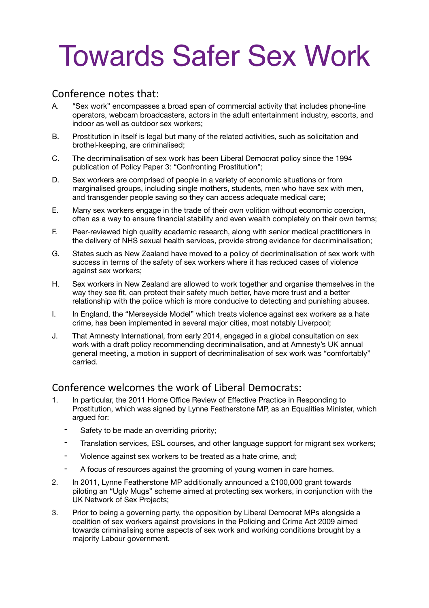# Towards Safer Sex Work

### Conference notes that:

- A. "Sex work" encompasses a broad span of commercial activity that includes phone-line operators, webcam broadcasters, actors in the adult entertainment industry, escorts, and indoor as well as outdoor sex workers;
- B. Prostitution in itself is legal but many of the related activities, such as solicitation and brothel-keeping, are criminalised;
- C. The decriminalisation of sex work has been Liberal Democrat policy since the 1994 publication of Policy Paper 3: "Confronting Prostitution";
- D. Sex workers are comprised of people in a variety of economic situations or from marginalised groups, including single mothers, students, men who have sex with men, and transgender people saving so they can access adequate medical care;
- E. Many sex workers engage in the trade of their own volition without economic coercion, often as a way to ensure financial stability and even wealth completely on their own terms;
- F. Peer-reviewed high quality academic research, along with senior medical practitioners in the delivery of NHS sexual health services, provide strong evidence for decriminalisation;
- G. States such as New Zealand have moved to a policy of decriminalisation of sex work with success in terms of the safety of sex workers where it has reduced cases of violence against sex workers;
- H. Sex workers in New Zealand are allowed to work together and organise themselves in the way they see fit, can protect their safety much better, have more trust and a better relationship with the police which is more conducive to detecting and punishing abuses.
- I. In England, the "Merseyside Model" which treats violence against sex workers as a hate crime, has been implemented in several major cities, most notably Liverpool;
- J. That Amnesty International, from early 2014, engaged in a global consultation on sex work with a draft policy recommending decriminalisation, and at Amnesty's UK annual general meeting, a motion in support of decriminalisation of sex work was "comfortably" carried.

## Conference welcomes the work of Liberal Democrats:

- 1. In particular, the 2011 Home Office Review of Effective Practice in Responding to Prostitution, which was signed by Lynne Featherstone MP, as an Equalities Minister, which argued for:
	- Safety to be made an overriding priority;
	- Translation services, ESL courses, and other language support for migrant sex workers;
	- Violence against sex workers to be treated as a hate crime, and;
	- A focus of resources against the grooming of young women in care homes.
- 2. In 2011, Lynne Featherstone MP additionally announced a £100,000 grant towards piloting an "Ugly Mugs" scheme aimed at protecting sex workers, in conjunction with the UK Network of Sex Projects;
- 3. Prior to being a governing party, the opposition by Liberal Democrat MPs alongside a coalition of sex workers against provisions in the Policing and Crime Act 2009 aimed towards criminalising some aspects of sex work and working conditions brought by a majority Labour government.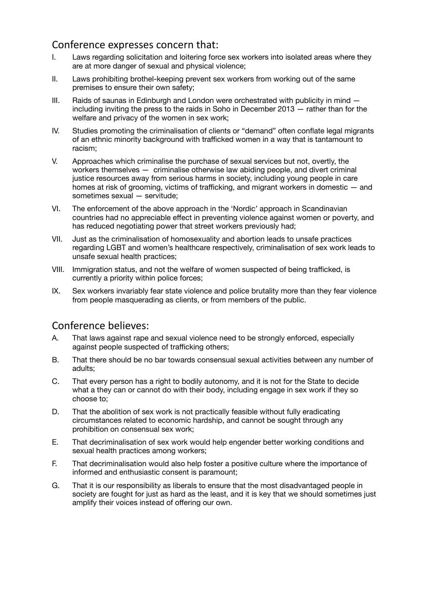#### Conference expresses concern that:

- I. Laws regarding solicitation and loitering force sex workers into isolated areas where they are at more danger of sexual and physical violence;
- II. Laws prohibiting brothel-keeping prevent sex workers from working out of the same premises to ensure their own safety;
- III. Raids of saunas in Edinburgh and London were orchestrated with publicity in mind  $$ including inviting the press to the raids in Soho in December 2013 — rather than for the welfare and privacy of the women in sex work;
- IV. Studies promoting the criminalisation of clients or "demand" often conflate legal migrants of an ethnic minority background with trafficked women in a way that is tantamount to racism;
- V. Approaches which criminalise the purchase of sexual services but not, overtly, the workers themselves — criminalise otherwise law abiding people, and divert criminal justice resources away from serious harms in society, including young people in care homes at risk of grooming, victims of trafficking, and migrant workers in domestic — and sometimes sexual — servitude;
- VI. The enforcement of the above approach in the 'Nordic' approach in Scandinavian countries had no appreciable effect in preventing violence against women or poverty, and has reduced negotiating power that street workers previously had;
- VII. Just as the criminalisation of homosexuality and abortion leads to unsafe practices regarding LGBT and women's healthcare respectively, criminalisation of sex work leads to unsafe sexual health practices;
- VIII. Immigration status, and not the welfare of women suspected of being trafficked, is currently a priority within police forces;
- IX. Sex workers invariably fear state violence and police brutality more than they fear violence from people masquerading as clients, or from members of the public.

# Conference believes:

- A. That laws against rape and sexual violence need to be strongly enforced, especially against people suspected of trafficking others;
- B. That there should be no bar towards consensual sexual activities between any number of adults;
- C. That every person has a right to bodily autonomy, and it is not for the State to decide what a they can or cannot do with their body, including engage in sex work if they so choose to;
- D. That the abolition of sex work is not practically feasible without fully eradicating circumstances related to economic hardship, and cannot be sought through any prohibition on consensual sex work;
- E. That decriminalisation of sex work would help engender better working conditions and sexual health practices among workers;
- F. That decriminalisation would also help foster a positive culture where the importance of informed and enthusiastic consent is paramount;
- G. That it is our responsibility as liberals to ensure that the most disadvantaged people in society are fought for just as hard as the least, and it is key that we should sometimes just amplify their voices instead of offering our own.